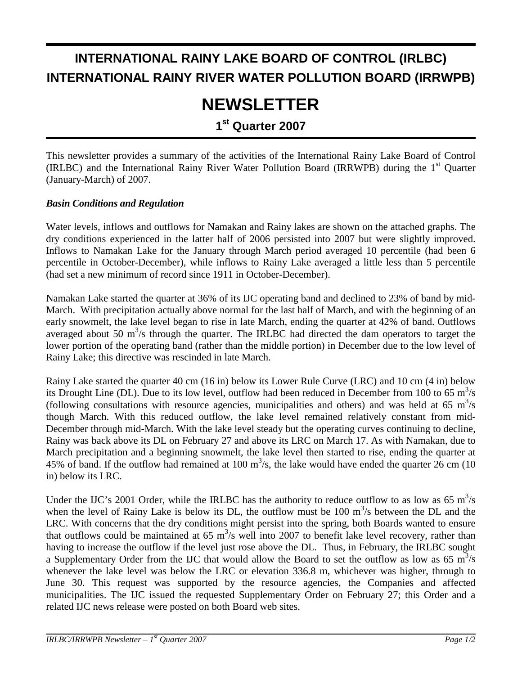## **INTERNATIONAL RAINY LAKE BOARD OF CONTROL (IRLBC) INTERNATIONAL RAINY RIVER WATER POLLUTION BOARD (IRRWPB)**

# **NEWSLETTER**

**1st Quarter 2007** 

This newsletter provides a summary of the activities of the International Rainy Lake Board of Control (IRLBC) and the International Rainy River Water Pollution Board (IRRWPB) during the 1<sup>st</sup> Quarter (January-March) of 2007.

#### *Basin Conditions and Regulation*

Water levels, inflows and outflows for Namakan and Rainy lakes are shown on the attached graphs. The dry conditions experienced in the latter half of 2006 persisted into 2007 but were slightly improved. Inflows to Namakan Lake for the January through March period averaged 10 percentile (had been 6 percentile in October-December), while inflows to Rainy Lake averaged a little less than 5 percentile (had set a new minimum of record since 1911 in October-December).

Namakan Lake started the quarter at 36% of its IJC operating band and declined to 23% of band by mid-March. With precipitation actually above normal for the last half of March, and with the beginning of an early snowmelt, the lake level began to rise in late March, ending the quarter at 42% of band. Outflows averaged about 50  $\text{m}^3$ /s through the quarter. The IRLBC had directed the dam operators to target the lower portion of the operating band (rather than the middle portion) in December due to the low level of Rainy Lake; this directive was rescinded in late March.

Rainy Lake started the quarter 40 cm (16 in) below its Lower Rule Curve (LRC) and 10 cm (4 in) below its Drought Line (DL). Due to its low level, outflow had been reduced in December from 100 to 65  $\text{m}^3\text{/s}$ (following consultations with resource agencies, municipalities and others) and was held at 65  $m^3/s$ though March. With this reduced outflow, the lake level remained relatively constant from mid-December through mid-March. With the lake level steady but the operating curves continuing to decline, Rainy was back above its DL on February 27 and above its LRC on March 17. As with Namakan, due to March precipitation and a beginning snowmelt, the lake level then started to rise, ending the quarter at 45% of band. If the outflow had remained at 100  $\text{m}^3$ /s, the lake would have ended the quarter 26 cm (10 in) below its LRC.

Under the IJC's 2001 Order, while the IRLBC has the authority to reduce outflow to as low as 65  $\text{m}^3\text{/s}$ when the level of Rainy Lake is below its DL, the outflow must be  $100 \text{ m}^3/\text{s}$  between the DL and the LRC. With concerns that the dry conditions might persist into the spring, both Boards wanted to ensure that outflows could be maintained at 65  $m^3/s$  well into 2007 to benefit lake level recovery, rather than having to increase the outflow if the level just rose above the DL. Thus, in February, the IRLBC sought a Supplementary Order from the IJC that would allow the Board to set the outflow as low as 65  $\mathrm{m}^3/\mathrm{s}$ whenever the lake level was below the LRC or elevation 336.8 m, whichever was higher, through to June 30. This request was supported by the resource agencies, the Companies and affected municipalities. The IJC issued the requested Supplementary Order on February 27; this Order and a related IJC news release were posted on both Board web sites.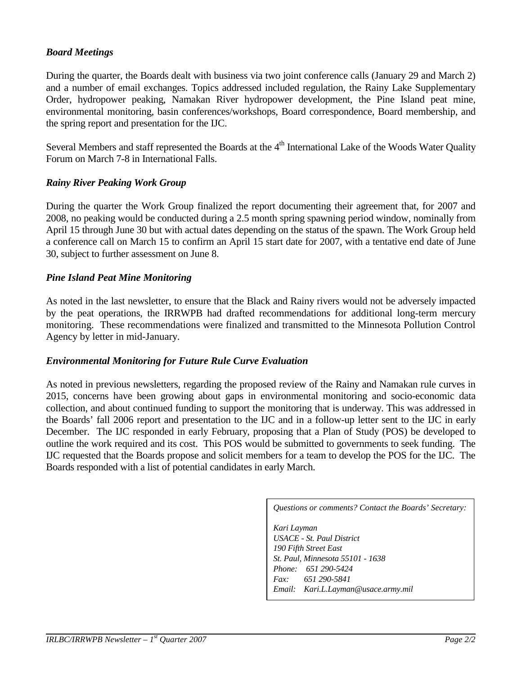#### *Board Meetings*

During the quarter, the Boards dealt with business via two joint conference calls (January 29 and March 2) and a number of email exchanges. Topics addressed included regulation, the Rainy Lake Supplementary Order, hydropower peaking, Namakan River hydropower development, the Pine Island peat mine, environmental monitoring, basin conferences/workshops, Board correspondence, Board membership, and the spring report and presentation for the IJC.

Several Members and staff represented the Boards at the 4<sup>th</sup> International Lake of the Woods Water Quality Forum on March 7-8 in International Falls.

#### *Rainy River Peaking Work Group*

During the quarter the Work Group finalized the report documenting their agreement that, for 2007 and 2008, no peaking would be conducted during a 2.5 month spring spawning period window, nominally from April 15 through June 30 but with actual dates depending on the status of the spawn. The Work Group held a conference call on March 15 to confirm an April 15 start date for 2007, with a tentative end date of June 30, subject to further assessment on June 8.

#### *Pine Island Peat Mine Monitoring*

As noted in the last newsletter, to ensure that the Black and Rainy rivers would not be adversely impacted by the peat operations, the IRRWPB had drafted recommendations for additional long-term mercury monitoring. These recommendations were finalized and transmitted to the Minnesota Pollution Control Agency by letter in mid-January.

#### *Environmental Monitoring for Future Rule Curve Evaluation*

As noted in previous newsletters, regarding the proposed review of the Rainy and Namakan rule curves in 2015, concerns have been growing about gaps in environmental monitoring and socio-economic data collection, and about continued funding to support the monitoring that is underway. This was addressed in the Boards' fall 2006 report and presentation to the IJC and in a follow-up letter sent to the IJC in early December. The IJC responded in early February, proposing that a Plan of Study (POS) be developed to outline the work required and its cost. This POS would be submitted to governments to seek funding. The IJC requested that the Boards propose and solicit members for a team to develop the POS for the IJC. The Boards responded with a list of potential candidates in early March.

*Questions or comments? Contact the Boards' Secretary:* 

*Kari Layman USACE - St. Paul District 190 Fifth Street East St. Paul, Minnesota 55101 - 1638 Phone: 651 290-5424 Fax: 651 290-5841 Email: Kari.L.Layman@usace.army.mil*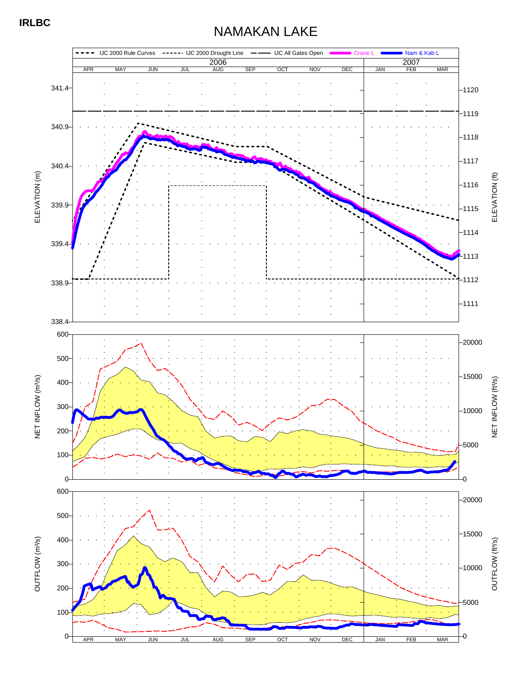### NAMAKAN LAKE